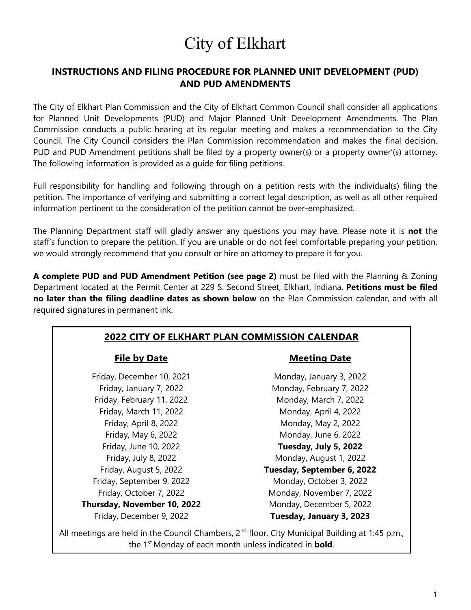# City of Elkhart

### **INSTRUCTIONS AND FILING PROCEDURE FOR PLANNED UNIT DEVELOPMENT (PUD) AND PUD AMENDMENTS**

The City of Elkhart Plan Commission and the City of Elkhart Common Council shall consider all applications for Planned Unit Developments (PUD) and Major Planned Unit Development Amendments. The Plan Commission conducts a public hearing at its regular meeting and makes a recommendation to the City Council. The City Council considers the Plan Commission recommendation and makes the final decision. PUD and PUD Amendment petitions shall be filed by a property owner(s) or a property owner'(s) attorney. The following information is provided as a guide for filing petitions.

Full responsibility for handling and following through on a petition rests with the individual(s) filing the petition. The importance of verifying and submitting a correct legal description, as well as all other required information pertinent to the consideration of the petition cannot be over-emphasized.

The Planning Department staff will gladly answer any questions you may have. Please note it is **not** the staff's function to prepare the petition. If you are unable or do not feel comfortable preparing your petition, we would strongly recommend that you consult or hire an attorney to prepare it for you.

**A complete PUD and PUD Amendment Petition (see page 2)** must be filed with the Planning & Zoning Department located at the Permit Center at 229 S. Second Street, Elkhart, Indiana. **Petitions must be filed no later than the filing deadline dates as shown below** on the Plan Commission calendar, and with all required signatures in permanent ink.

#### **2022 CITY OF ELKHART PLAN COMMISSION CALENDAR**

Friday, December 10, 2021 Monday, January 3, 2022 Friday, February 11, 2022 Monday, March 7, 2022 Friday, March 11, 2022 Monday, April 4, 2022 Friday, September 9, 2022 Monday, October 3, 2022 **Thursday, November 10, 2022** Monday, December 5, 2022

#### **File by Date Meeting Date**

Friday, January 7, 2022 Monday, February 7, 2022 Friday, April 8, 2022 Monday, May 2, 2022 Friday, May 6, 2022 Monday, June 6, 2022 Friday, June 10, 2022 **Tuesday, July 5, 2022** Friday, July 8, 2022 Monday, August 1, 2022 Friday, August 5, 2022 **Tuesday, September 6, 2022** Friday, October 7, 2022 Monday, November 7, 2022 Friday, December 9, 2022 **Tuesday, January 3, 2023**

All meetings are held in the Council Chambers,  $2^{nd}$  floor, City Municipal Building at 1:45 p.m., the 1st Monday of each month unless indicated in **bold**.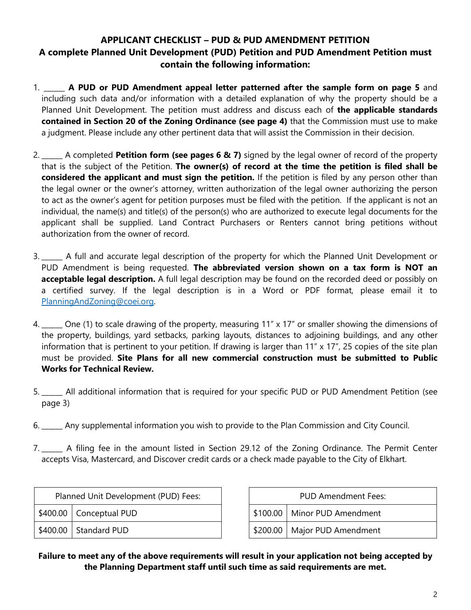### **APPLICANT CHECKLIST – PUD & PUD AMENDMENT PETITION A complete Planned Unit Development (PUD) Petition and PUD Amendment Petition must contain the following information:**

- 1. \_\_\_\_\_\_ **A PUD or PUD Amendment appeal letter patterned after the sample form on page 5** and including such data and/or information with a detailed explanation of why the property should be a Planned Unit Development. The petition must address and discuss each of **the applicable standards contained in Section 20 of the Zoning Ordinance (see page 4)** that the Commission must use to make a judgment. Please include any other pertinent data that will assist the Commission in their decision.
- 2. \_\_\_\_\_\_ A completed **Petition form (see pages 6 & 7)** signed by the legal owner of record of the property that is the subject of the Petition. **The owner(s) of record at the time the petition is filed shall be considered the applicant and must sign the petition.** If the petition is filed by any person other than the legal owner or the owner's attorney, written authorization of the legal owner authorizing the person to act as the owner's agent for petition purposes must be filed with the petition. If the applicant is not an individual, the name(s) and title(s) of the person(s) who are authorized to execute legal documents for the applicant shall be supplied. Land Contract Purchasers or Renters cannot bring petitions without authorization from the owner of record.
- 3. \_\_\_\_\_\_ A full and accurate legal description of the property for which the Planned Unit Development or PUD Amendment is being requested. **The abbreviated version shown on a tax form is NOT an acceptable legal description.** A full legal description may be found on the recorded deed or possibly on a certified survey. If the legal description is in a Word or PDF format, please email it to [PlanningAndZoning@coei.org.](mailto:PlanningAndZoning@coei.org)
- 4. \_\_\_\_\_\_ One (1) to scale drawing of the property, measuring 11" x 17" or smaller showing the dimensions of the property, buildings, yard setbacks, parking layouts, distances to adjoining buildings, and any other information that is pertinent to your petition. If drawing is larger than 11" x 17", 25 copies of the site plan must be provided. **Site Plans for all new commercial construction must be submitted to Public Works for Technical Review.**
- 5. **\_\_\_\_\_\_** All additional information that is required for your specific PUD or PUD Amendment Petition (see page 3)
- 6. \_\_\_\_\_\_ Any supplemental information you wish to provide to the Plan Commission and City Council.
- 7. \_\_\_\_\_\_ A filing fee in the amount listed in Section 29.12 of the Zoning Ordinance. The Permit Center accepts Visa, Mastercard, and Discover credit cards or a check made payable to the City of Elkhart.

| Planned Unit Development (PUD) Fees: |                           |          | <b>PUD Amendment Fees:</b> |
|--------------------------------------|---------------------------|----------|----------------------------|
|                                      | \$400.00   Conceptual PUD | \$100.00 | Minor PUD Amendment        |
|                                      | \$400.00 Standard PUD     | \$200.00 | Major PUD Amendment        |

| <b>PUD Amendment Fees:</b> |                                |  |  |  |
|----------------------------|--------------------------------|--|--|--|
|                            | \$100.00   Minor PUD Amendment |  |  |  |
|                            | \$200.00   Major PUD Amendment |  |  |  |

#### **Failure to meet any of the above requirements will result in your application not being accepted by the Planning Department staff until such time as said requirements are met.**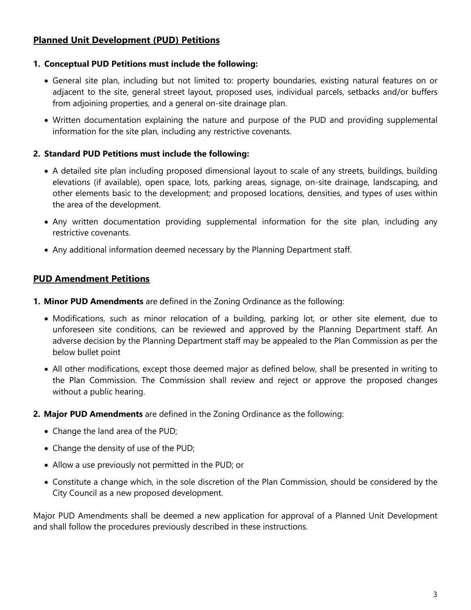#### **Planned Unit Development (PUD) Petitions**

#### **1. Conceptual PUD Petitions must include the following:**

- General site plan, including but not limited to: property boundaries, existing natural features on or adjacent to the site, general street layout, proposed uses, individual parcels, setbacks and/or buffers from adjoining properties, and a general on-site drainage plan.
- Written documentation explaining the nature and purpose of the PUD and providing supplemental information for the site plan, including any restrictive covenants.

#### **2. Standard PUD Petitions must include the following:**

- A detailed site plan including proposed dimensional layout to scale of any streets, buildings, building elevations (if available), open space, lots, parking areas, signage, on-site drainage, landscaping, and other elements basic to the development; and proposed locations, densities, and types of uses within the area of the development.
- Any written documentation providing supplemental information for the site plan, including any restrictive covenants.
- Any additional information deemed necessary by the Planning Department staff.

#### **PUD Amendment Petitions**

- **1. Minor PUD Amendments** are defined in the Zoning Ordinance as the following:
	- Modifications, such as minor relocation of a building, parking lot, or other site element, due to unforeseen site conditions, can be reviewed and approved by the Planning Department staff. An adverse decision by the Planning Department staff may be appealed to the Plan Commission as per the below bullet point
	- All other modifications, except those deemed major as defined below, shall be presented in writing to the Plan Commission. The Commission shall review and reject or approve the proposed changes without a public hearing.
- **2. Major PUD Amendments** are defined in the Zoning Ordinance as the following:
	- Change the land area of the PUD;
	- Change the density of use of the PUD;
	- Allow a use previously not permitted in the PUD; or
	- Constitute a change which, in the sole discretion of the Plan Commission, should be considered by the City Council as a new proposed development.

Major PUD Amendments shall be deemed a new application for approval of a Planned Unit Development and shall follow the procedures previously described in these instructions.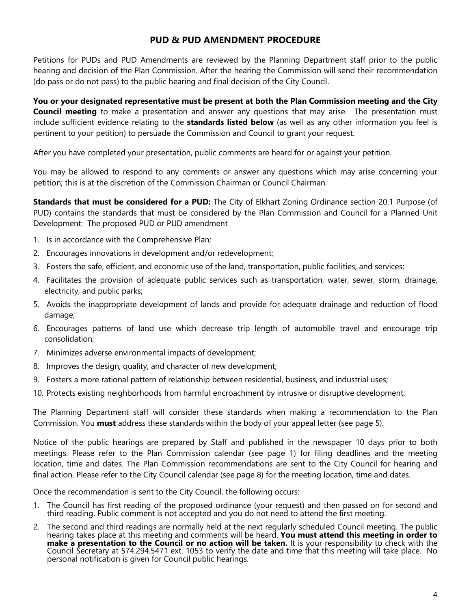#### **PUD & PUD AMENDMENT PROCEDURE**

Petitions for PUDs and PUD Amendments are reviewed by the Planning Department staff prior to the public hearing and decision of the Plan Commission. After the hearing the Commission will send their recommendation (do pass or do not pass) to the public hearing and final decision of the City Council.

**You or your designated representative must be present at both the Plan Commission meeting and the City Council meeting** to make a presentation and answer any questions that may arise. The presentation must include sufficient evidence relating to the **standards listed below** (as well as any other information you feel is pertinent to your petition) to persuade the Commission and Council to grant your request.

After you have completed your presentation, public comments are heard for or against your petition.

You may be allowed to respond to any comments or answer any questions which may arise concerning your petition; this is at the discretion of the Commission Chairman or Council Chairman.

**Standards that must be considered for a PUD:** The City of Elkhart Zoning Ordinance section 20.1 Purpose (of PUD) contains the standards that must be considered by the Plan Commission and Council for a Planned Unit Development:The proposed PUD or PUD amendment

- 1. Is in accordance with the Comprehensive Plan;
- 2. Encourages innovations in development and/or redevelopment;
- 3. Fosters the safe, efficient, and economic use of the land, transportation, public facilities, and services;
- 4. Facilitates the provision of adequate public services such as transportation, water, sewer, storm, drainage, electricity, and public parks;
- 5. Avoids the inappropriate development of lands and provide for adequate drainage and reduction of flood damage;
- 6. Encourages patterns of land use which decrease trip length of automobile travel and encourage trip consolidation;
- 7. Minimizes adverse environmental impacts of development;
- 8. Improves the design, quality, and character of new development;
- 9. Fosters a more rational pattern of relationship between residential, business, and industrial uses;
- 10. Protects existing neighborhoods from harmful encroachment by intrusive or disruptive development;

The Planning Department staff will consider these standards when making a recommendation to the Plan Commission. You **must** address these standards within the body of your appeal letter (see page 5).

Notice of the public hearings are prepared by Staff and published in the newspaper 10 days prior to both meetings. Please refer to the Plan Commission calendar (see page 1) for filing deadlines and the meeting location, time and dates. The Plan Commission recommendations are sent to the City Council for hearing and final action. Please refer to the City Council calendar (see page 8) for the meeting location, time and dates.

Once the recommendation is sent to the City Council, the following occurs:

- 1. The Council has first reading of the proposed ordinance (your request) and then passed on for second and third reading. Public comment is not accepted and you do not need to attend the first meeting.
- 2. The second and third readings are normally held at the next regularly scheduled Council meeting. The public hearing takes place at this meeting and comments will be heard. **You must attend this meeting in order to make a presentation to the Council or no action will be taken.** It is your responsibility to check with the Council Secretary at 574.294.5471 ext. 1053 to verify the date and time that this meeting will take place. No personal notification is given for Council public hearings.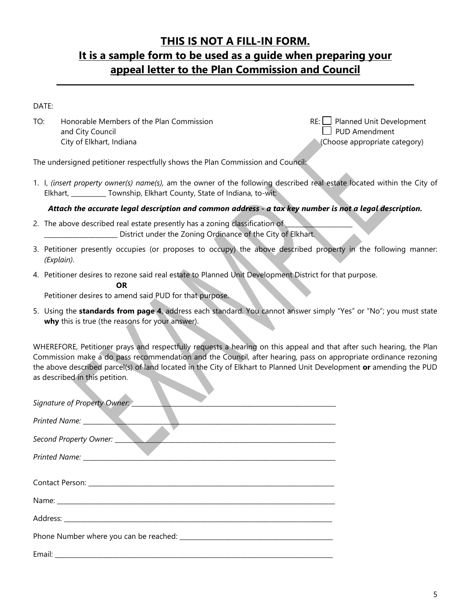## **THIS IS NOT A FILL-IN FORM. It is a sample form to be used as a guide when preparing your appeal letter to the Plan Commission and Council**

**\_\_\_\_\_\_\_\_\_\_\_\_\_\_\_\_\_\_\_\_\_\_\_\_\_\_\_\_\_\_\_\_\_\_\_\_\_\_\_\_\_\_\_\_\_\_\_\_\_\_\_\_\_\_\_\_\_\_\_\_\_\_\_\_\_\_\_\_\_\_\_\_\_**

DATE:

TO: Honorable Members of the Plan Commission  $RE: \Box$  Planned Unit Development and City Council and City Council and City Council City of Elkhart, Indiana (Choose appropriate category)

The undersigned petitioner respectfully shows the Plan Commission and Council:

1. I, *(insert property owner(s) name(s),* am the owner of the following described real estate located within the City of Elkhart, \_\_\_\_\_\_\_\_\_\_\_ Township, Elkhart County, State of Indiana, to-wit:

*Attach the accurate legal description and common address - a tax key number is not a legal description.* 

- 2. The above described real estate presently has a zoning classification of District under the Zoning Ordinance of the City of Elkhart.
- 3. Petitioner presently occupies (or proposes to occupy) the above described property in the following manner: *(Explain)*.
- 4. Petitioner desires to rezone said real estate to Planned Unit Development District for that purpose.

**OR**

Petitioner desires to amend said PUD for that purpose.

5. Using the **standards from page 4**, address each standard. You cannot answer simply "Yes" or "No"; you must state **why** this is true (the reasons for your answer).

WHEREFORE, Petitioner prays and respectfully requests a hearing on this appeal and that after such hearing, the Plan Commission make a do pass recommendation and the Council, after hearing, pass on appropriate ordinance rezoning the above described parcel(s) of land located in the City of Elkhart to Planned Unit Development **or** amending the PUD as described in this petition.

| Signature of Property Owner: |
|------------------------------|
|                              |
| Second Property Owner:       |
|                              |
|                              |
|                              |
|                              |
|                              |
|                              |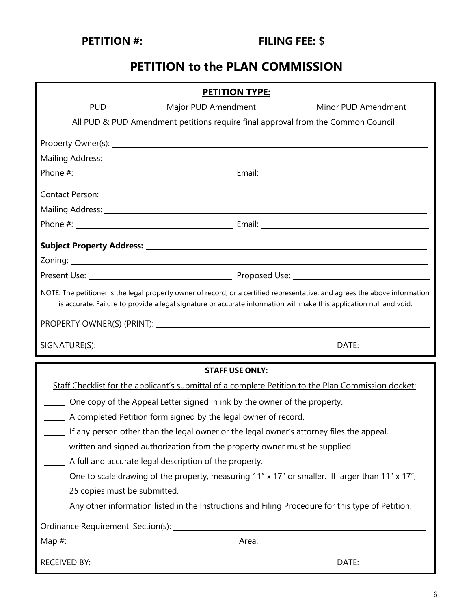| <b>PETITION #:</b> |  |
|--------------------|--|
|--------------------|--|

# **PETITION to the PLAN COMMISSION**

|                                                                                                                                                                                                                                                    | <b>PETITION TYPE:</b>                                                                                                                                                                                                                |  |  |  |
|----------------------------------------------------------------------------------------------------------------------------------------------------------------------------------------------------------------------------------------------------|--------------------------------------------------------------------------------------------------------------------------------------------------------------------------------------------------------------------------------------|--|--|--|
| <b>PUD</b>                                                                                                                                                                                                                                         | Major PUD Amendment Manuel Minor PUD Amendment                                                                                                                                                                                       |  |  |  |
|                                                                                                                                                                                                                                                    | All PUD & PUD Amendment petitions require final approval from the Common Council                                                                                                                                                     |  |  |  |
|                                                                                                                                                                                                                                                    | Property Owner(s): <u>example and the set of the set of the set of the set of the set of the set of the set of the set of the set of the set of the set of the set of the set of the set of the set of the set of the set of the</u> |  |  |  |
|                                                                                                                                                                                                                                                    | Mailing Address: 1999 Mail Contract Contract Contract Contract Contract Contract Contract Contract Contract Co                                                                                                                       |  |  |  |
|                                                                                                                                                                                                                                                    |                                                                                                                                                                                                                                      |  |  |  |
|                                                                                                                                                                                                                                                    |                                                                                                                                                                                                                                      |  |  |  |
|                                                                                                                                                                                                                                                    |                                                                                                                                                                                                                                      |  |  |  |
|                                                                                                                                                                                                                                                    |                                                                                                                                                                                                                                      |  |  |  |
|                                                                                                                                                                                                                                                    |                                                                                                                                                                                                                                      |  |  |  |
|                                                                                                                                                                                                                                                    |                                                                                                                                                                                                                                      |  |  |  |
|                                                                                                                                                                                                                                                    |                                                                                                                                                                                                                                      |  |  |  |
| NOTE: The petitioner is the legal property owner of record, or a certified representative, and agrees the above information<br>is accurate. Failure to provide a legal signature or accurate information will make this application null and void. |                                                                                                                                                                                                                                      |  |  |  |
|                                                                                                                                                                                                                                                    |                                                                                                                                                                                                                                      |  |  |  |
|                                                                                                                                                                                                                                                    |                                                                                                                                                                                                                                      |  |  |  |
|                                                                                                                                                                                                                                                    |                                                                                                                                                                                                                                      |  |  |  |
|                                                                                                                                                                                                                                                    | <b>STAFF USE ONLY:</b>                                                                                                                                                                                                               |  |  |  |
|                                                                                                                                                                                                                                                    | Staff Checklist for the applicant's submittal of a complete Petition to the Plan Commission docket:                                                                                                                                  |  |  |  |
| One copy of the Appeal Letter signed in ink by the owner of the property.                                                                                                                                                                          |                                                                                                                                                                                                                                      |  |  |  |
| A completed Petition form signed by the legal owner of record.                                                                                                                                                                                     |                                                                                                                                                                                                                                      |  |  |  |
|                                                                                                                                                                                                                                                    | If any person other than the legal owner or the legal owner's attorney files the appeal,                                                                                                                                             |  |  |  |
|                                                                                                                                                                                                                                                    | written and signed authorization from the property owner must be supplied.                                                                                                                                                           |  |  |  |
| A full and accurate legal description of the property.                                                                                                                                                                                             |                                                                                                                                                                                                                                      |  |  |  |
|                                                                                                                                                                                                                                                    | One to scale drawing of the property, measuring 11" x 17" or smaller. If larger than 11" x 17",                                                                                                                                      |  |  |  |
| 25 copies must be submitted.                                                                                                                                                                                                                       |                                                                                                                                                                                                                                      |  |  |  |
|                                                                                                                                                                                                                                                    | Any other information listed in the Instructions and Filing Procedure for this type of Petition.                                                                                                                                     |  |  |  |
|                                                                                                                                                                                                                                                    |                                                                                                                                                                                                                                      |  |  |  |
|                                                                                                                                                                                                                                                    |                                                                                                                                                                                                                                      |  |  |  |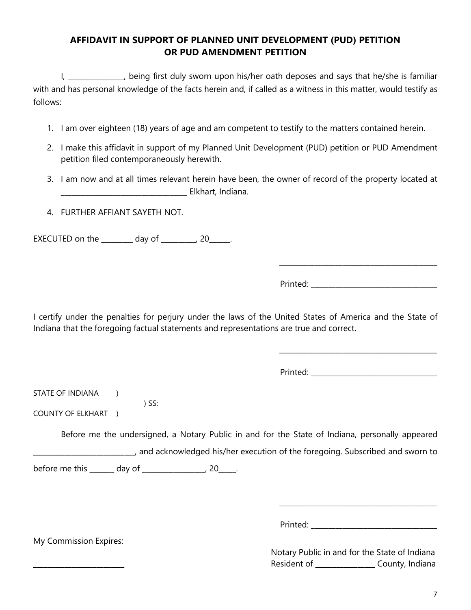#### **AFFIDAVIT IN SUPPORT OF PLANNED UNIT DEVELOPMENT (PUD) PETITION OR PUD AMENDMENT PETITION**

I, \_\_\_\_\_\_\_\_\_\_\_\_, being first duly sworn upon his/her oath deposes and says that he/she is familiar with and has personal knowledge of the facts herein and, if called as a witness in this matter, would testify as follows:

- 1. I am over eighteen (18) years of age and am competent to testify to the matters contained herein.
- 2. I make this affidavit in support of my Planned Unit Development (PUD) petition or PUD Amendment petition filed contemporaneously herewith.
- 3. I am now and at all times relevant herein have been, the owner of record of the property located at \_\_\_\_\_\_\_\_\_\_\_\_\_\_\_\_\_\_\_\_\_\_\_\_\_\_\_\_\_\_\_\_\_\_\_\_ Elkhart, Indiana.
- 4. FURTHER AFFIANT SAYETH NOT.

EXECUTED on the \_\_\_\_\_\_\_\_\_ day of \_\_\_\_\_\_\_\_\_\_, 20\_\_\_\_\_\_.

) SS:

Printed:  $\blacksquare$ 

\_\_\_\_\_\_\_\_\_\_\_\_\_\_\_\_\_\_\_\_\_\_\_\_\_\_\_\_\_\_\_\_\_\_\_\_\_\_\_\_\_\_\_\_\_

I certify under the penalties for perjury under the laws of the United States of America and the State of Indiana that the foregoing factual statements and representations are true and correct.

Printed: \_\_\_\_\_\_\_\_\_\_\_\_\_\_\_\_\_\_\_\_\_\_\_\_\_\_\_\_\_\_\_\_\_\_\_\_

\_\_\_\_\_\_\_\_\_\_\_\_\_\_\_\_\_\_\_\_\_\_\_\_\_\_\_\_\_\_\_\_\_\_\_\_\_\_\_\_\_\_\_\_\_

STATE OF INDIANA )

COUNTY OF ELKHART )

Before me the undersigned, a Notary Public in and for the State of Indiana, personally appeared \_\_\_\_\_\_\_\_\_\_\_\_\_\_\_\_\_\_\_\_\_\_\_\_\_\_\_\_\_, and acknowledged his/her execution of the foregoing. Subscribed and sworn to before me this \_\_\_\_\_\_\_ day of \_\_\_\_\_\_\_\_\_\_\_\_\_\_\_\_\_\_, 20\_\_\_\_\_.

Printed: \_\_\_\_\_\_\_\_\_\_\_\_\_\_\_\_\_\_\_\_\_\_\_\_\_\_\_\_\_\_\_\_\_\_\_\_

\_\_\_\_\_\_\_\_\_\_\_\_\_\_\_\_\_\_\_\_\_\_\_\_\_\_\_\_\_\_\_\_\_\_\_\_\_\_\_\_\_\_\_\_\_

 Notary Public in and for the State of Indiana Resident of \_\_\_\_\_\_\_\_\_\_\_\_\_\_\_\_\_ County, Indiana

My Commission Expires: